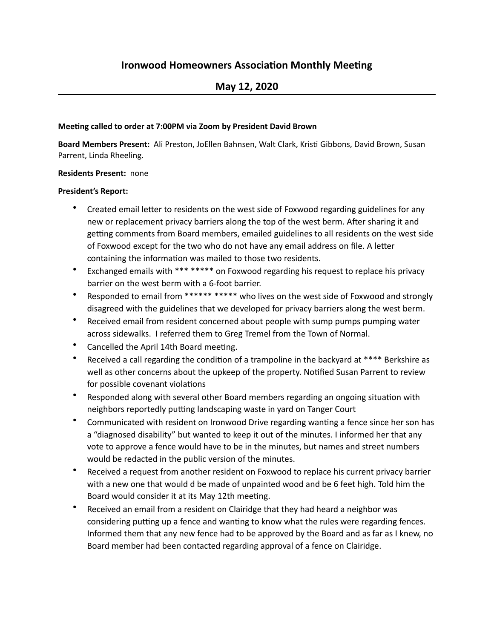# **Ironwood Homeowners Association Monthly Meeting**

## **May 12, 2020**

#### **Meeting called to order at 7:00PM via Zoom by President David Brown**

Board Members Present: Ali Preston, JoEllen Bahnsen, Walt Clark, Kristi Gibbons, David Brown, Susan Parrent, Linda Rheeling.

#### **Residents Present: none**

#### **President's Report:**

- Created email letter to residents on the west side of Foxwood regarding guidelines for any new or replacement privacy barriers along the top of the west berm. After sharing it and getting comments from Board members, emailed guidelines to all residents on the west side of Foxwood except for the two who do not have any email address on file. A letter containing the information was mailed to those two residents.
- Exchanged emails with \*\*\* \*\*\*\*\* on Foxwood regarding his request to replace his privacy barrier on the west berm with a 6-foot barrier.
- Responded to email from \*\*\*\*\*\* \*\*\*\*\* who lives on the west side of Foxwood and strongly disagreed with the guidelines that we developed for privacy barriers along the west berm.
- Received email from resident concerned about people with sump pumps pumping water across sidewalks. I referred them to Greg Tremel from the Town of Normal.
- Cancelled the April 14th Board meeting.
- Received a call regarding the condition of a trampoline in the backyard at \*\*\*\* Berkshire as well as other concerns about the upkeep of the property. Notified Susan Parrent to review for possible covenant violations
- Responded along with several other Board members regarding an ongoing situation with neighbors reportedly putting landscaping waste in yard on Tanger Court
- Communicated with resident on Ironwood Drive regarding wanting a fence since her son has a "diagnosed disability" but wanted to keep it out of the minutes. I informed her that any vote to approve a fence would have to be in the minutes, but names and street numbers would be redacted in the public version of the minutes.
- Received a request from another resident on Foxwood to replace his current privacy barrier with a new one that would d be made of unpainted wood and be 6 feet high. Told him the Board would consider it at its May 12th meeting.
- Received an email from a resident on Clairidge that they had heard a neighbor was considering putting up a fence and wanting to know what the rules were regarding fences. Informed them that any new fence had to be approved by the Board and as far as I knew, no Board member had been contacted regarding approval of a fence on Clairidge.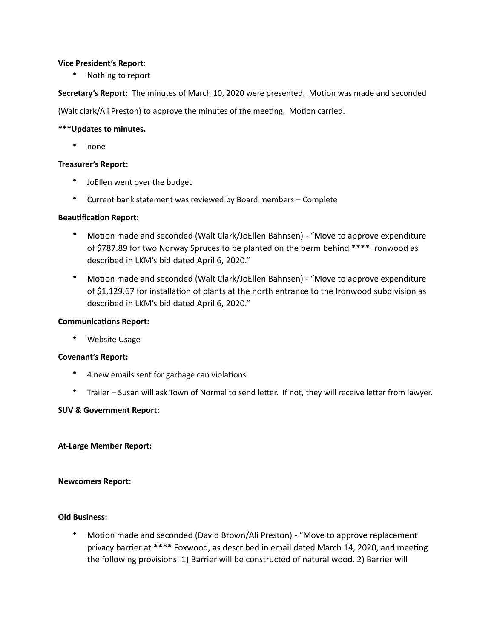#### **Vice President's Report:**

• Nothing to report

Secretary's Report: The minutes of March 10, 2020 were presented. Motion was made and seconded

(Walt clark/Ali Preston) to approve the minutes of the meeting. Motion carried.

#### \*\*\*Updates to minutes.

• none 

#### **Treasurer's Report:**

- JoEllen went over the budget
- Current bank statement was reviewed by Board members Complete

#### **Beautification Report:**

- Motion made and seconded (Walt Clark/JoEllen Bahnsen) "Move to approve expenditure of \$787.89 for two Norway Spruces to be planted on the berm behind \*\*\*\* Ironwood as described in LKM's bid dated April 6, 2020."
- Motion made and seconded (Walt Clark/JoEllen Bahnsen) "Move to approve expenditure of \$1,129.67 for installation of plants at the north entrance to the Ironwood subdivision as described in LKM's bid dated April 6, 2020."

#### **Communications Report:**

• Website Usage

#### **Covenant's Report:**

- 4 new emails sent for garbage can violations
- Trailer Susan will ask Town of Normal to send letter. If not, they will receive letter from lawyer.

#### **SUV & Government Report:**

#### **At-Large Member Report:**

#### **Newcomers Report:**

#### **Old Business:**

Motion made and seconded (David Brown/Ali Preston) - "Move to approve replacement privacy barrier at \*\*\*\* Foxwood, as described in email dated March 14, 2020, and meeting the following provisions: 1) Barrier will be constructed of natural wood. 2) Barrier will